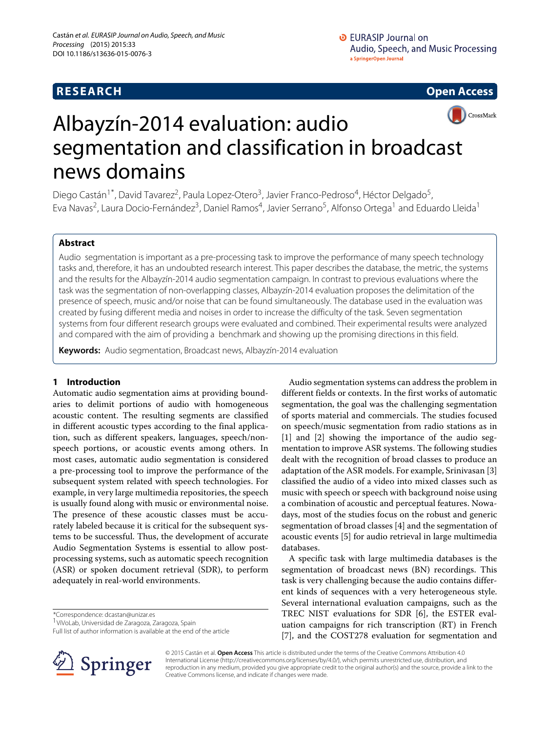# **RESEARCH Open Access**



# Albayzín-2014 evaluation: audio segmentation and classification in broadcast news domains

Diego Castán<sup>1\*</sup>, David Tavarez<sup>2</sup>, Paula Lopez-Otero<sup>3</sup>, Javier Franco-Pedroso<sup>4</sup>, Héctor Delgado<sup>5</sup>, Eva Navas<sup>2</sup>, Laura Docio-Fernández<sup>3</sup>, Daniel Ramos<sup>4</sup>, Javier Serrano<sup>5</sup>, Alfonso Ortega<sup>1</sup> and Eduardo Lleida<sup>1</sup>

# **Abstract**

Audio segmentation is important as a pre-processing task to improve the performance of many speech technology tasks and, therefore, it has an undoubted research interest. This paper describes the database, the metric, the systems and the results for the Albayzín-2014 audio segmentation campaign. In contrast to previous evaluations where the task was the segmentation of non-overlapping classes, Albayzín-2014 evaluation proposes the delimitation of the presence of speech, music and/or noise that can be found simultaneously. The database used in the evaluation was created by fusing different media and noises in order to increase the difficulty of the task. Seven segmentation systems from four different research groups were evaluated and combined. Their experimental results were analyzed and compared with the aim of providing a benchmark and showing up the promising directions in this field.

**Keywords:** Audio segmentation, Broadcast news, Albayzín-2014 evaluation

# **1 Introduction**

Automatic audio segmentation aims at providing boundaries to delimit portions of audio with homogeneous acoustic content. The resulting segments are classified in different acoustic types according to the final application, such as different speakers, languages, speech/nonspeech portions, or acoustic events among others. In most cases, automatic audio segmentation is considered a pre-processing tool to improve the performance of the subsequent system related with speech technologies. For example, in very large multimedia repositories, the speech is usually found along with music or environmental noise. The presence of these acoustic classes must be accurately labeled because it is critical for the subsequent systems to be successful. Thus, the development of accurate Audio Segmentation Systems is essential to allow postprocessing systems, such as automatic speech recognition (ASR) or spoken document retrieval (SDR), to perform adequately in real-world environments.

\*Correspondence: [dcastan@unizar.es](mailto: dcastan@unizar.es)

Full list of author information is available at the end of the article



A specific task with large multimedia databases is the segmentation of broadcast news (BN) recordings. This task is very challenging because the audio contains different kinds of sequences with a very heterogeneous style. Several international evaluation campaigns, such as the TREC NIST evaluations for SDR [\[6\]](#page-7-5), the ESTER evaluation campaigns for rich transcription (RT) in French [\[7\]](#page-7-6), and the COST278 evaluation for segmentation and



© 2015 Castán et al. **Open Access** This article is distributed under the terms of the Creative Commons Attribution 4.0 International License [\(http://creativecommons.org/licenses/by/4.0/\)](http://creativecommons.org/licenses/by/4.0/), which permits unrestricted use, distribution, and reproduction in any medium, provided you give appropriate credit to the original author(s) and the source, provide a link to the Creative Commons license, and indicate if changes were made.

<sup>1</sup>ViVoLab, Universidad de Zaragoza, Zaragoza, Spain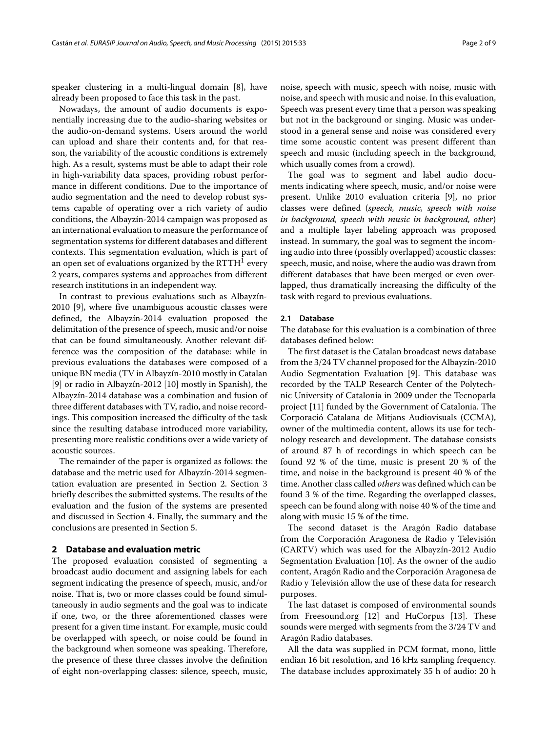speaker clustering in a multi-lingual domain [\[8\]](#page-7-7), have already been proposed to face this task in the past.

Nowadays, the amount of audio documents is exponentially increasing due to the audio-sharing websites or the audio-on-demand systems. Users around the world can upload and share their contents and, for that reason, the variability of the acoustic conditions is extremely high. As a result, systems must be able to adapt their role in high-variability data spaces, providing robust performance in different conditions. Due to the importance of audio segmentation and the need to develop robust systems capable of operating over a rich variety of audio conditions, the Albayzín-2014 campaign was proposed as an international evaluation to measure the performance of segmentation systems for different databases and different contexts. This segmentation evaluation, which is part of an open set of evaluations organized by the  $RTTH<sup>1</sup>$  every 2 years, compares systems and approaches from different research institutions in an independent way.

In contrast to previous evaluations such as Albayzín-2010 [\[9\]](#page-7-8), where five unambiguous acoustic classes were defined, the Albayzín-2014 evaluation proposed the delimitation of the presence of speech, music and/or noise that can be found simultaneously. Another relevant difference was the composition of the database: while in previous evaluations the databases were composed of a unique BN media (TV in Albayzín-2010 mostly in Catalan [\[9\]](#page-7-8) or radio in Albayzín-2012 [\[10\]](#page-7-9) mostly in Spanish), the Albayzín-2014 database was a combination and fusion of three different databases with TV, radio, and noise recordings. This composition increased the difficulty of the task since the resulting database introduced more variability, presenting more realistic conditions over a wide variety of acoustic sources.

The remainder of the paper is organized as follows: the database and the metric used for Albayzín-2014 segmentation evaluation are presented in Section [2.](#page-1-0) Section [3](#page-2-0) briefly describes the submitted systems. The results of the evaluation and the fusion of the systems are presented and discussed in Section [4.](#page-4-0) Finally, the summary and the conclusions are presented in Section [5.](#page-6-0)

# <span id="page-1-0"></span>**2 Database and evaluation metric**

The proposed evaluation consisted of segmenting a broadcast audio document and assigning labels for each segment indicating the presence of speech, music, and/or noise. That is, two or more classes could be found simultaneously in audio segments and the goal was to indicate if one, two, or the three aforementioned classes were present for a given time instant. For example, music could be overlapped with speech, or noise could be found in the background when someone was speaking. Therefore, the presence of these three classes involve the definition of eight non-overlapping classes: silence, speech, music,

noise, speech with music, speech with noise, music with noise, and speech with music and noise. In this evaluation, Speech was present every time that a person was speaking but not in the background or singing. Music was understood in a general sense and noise was considered every time some acoustic content was present different than speech and music (including speech in the background, which usually comes from a crowd).

The goal was to segment and label audio documents indicating where speech, music, and/or noise were present. Unlike 2010 evaluation criteria [\[9\]](#page-7-8), no prior classes were defined (*speech, music, speech with noise in background, speech with music in background, other*) and a multiple layer labeling approach was proposed instead. In summary, the goal was to segment the incoming audio into three (possibly overlapped) acoustic classes: speech, music, and noise, where the audio was drawn from different databases that have been merged or even overlapped, thus dramatically increasing the difficulty of the task with regard to previous evaluations.

#### **2.1 Database**

The database for this evaluation is a combination of three databases defined below:

The first dataset is the Catalan broadcast news database from the 3/24 TV channel proposed for the Albayzín-2010 Audio Segmentation Evaluation [\[9\]](#page-7-8). This database was recorded by the TALP Research Center of the Polytechnic University of Catalonia in 2009 under the Tecnoparla project [\[11\]](#page-7-10) funded by the Government of Catalonia. The Corporació Catalana de Mitjans Audiovisuals (CCMA), owner of the multimedia content, allows its use for technology research and development. The database consists of around 87 h of recordings in which speech can be found 92 % of the time, music is present 20 % of the time, and noise in the background is present 40 % of the time. Another class called *others* was defined which can be found 3 % of the time. Regarding the overlapped classes, speech can be found along with noise 40 % of the time and along with music 15 % of the time.

The second dataset is the Aragón Radio database from the Corporación Aragonesa de Radio y Televisión (CARTV) which was used for the Albayzín-2012 Audio Segmentation Evaluation [\[10\]](#page-7-9). As the owner of the audio content, Aragón Radio and the Corporación Aragonesa de Radio y Televisión allow the use of these data for research purposes.

The last dataset is composed of environmental sounds from Freesound.org [\[12\]](#page-7-11) and HuCorpus [\[13\]](#page-7-12). These sounds were merged with segments from the 3/24 TV and Aragón Radio databases.

All the data was supplied in PCM format, mono, little endian 16 bit resolution, and 16 kHz sampling frequency. The database includes approximately 35 h of audio: 20 h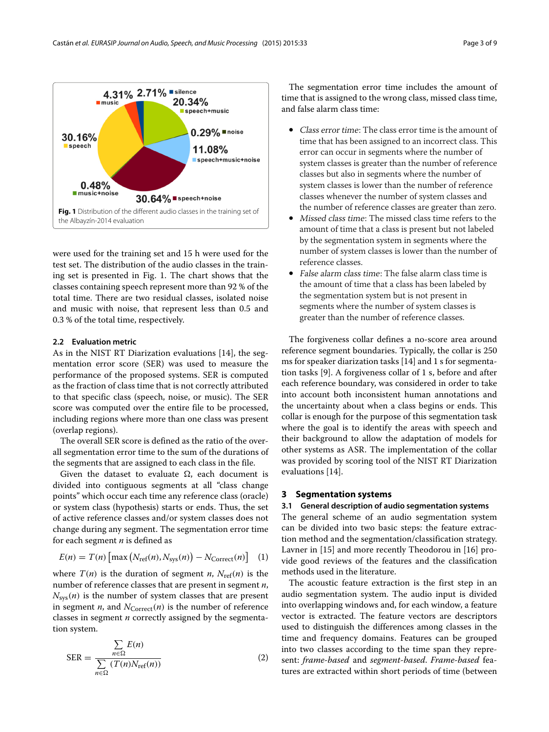

<span id="page-2-1"></span>were used for the training set and 15 h were used for the test set. The distribution of the audio classes in the training set is presented in Fig. [1.](#page-2-1) The chart shows that the classes containing speech represent more than 92 % of the total time. There are two residual classes, isolated noise and music with noise, that represent less than 0.5 and 0.3 % of the total time, respectively.

# **2.2 Evaluation metric**

As in the NIST RT Diarization evaluations [\[14\]](#page-7-13), the segmentation error score (SER) was used to measure the performance of the proposed systems. SER is computed as the fraction of class time that is not correctly attributed to that specific class (speech, noise, or music). The SER score was computed over the entire file to be processed, including regions where more than one class was present (overlap regions).

The overall SER score is defined as the ratio of the overall segmentation error time to the sum of the durations of the segments that are assigned to each class in the file.

Given the dataset to evaluate  $\Omega$ , each document is divided into contiguous segments at all "class change points" which occur each time any reference class (oracle) or system class (hypothesis) starts or ends. Thus, the set of active reference classes and/or system classes does not change during any segment. The segmentation error time for each segment *n* is defined as

$$
E(n) = T(n) \left[ \max \left( N_{\text{ref}}(n), N_{\text{sys}}(n) \right) - N_{\text{Correct}}(n) \right] \tag{1}
$$

where  $T(n)$  is the duration of segment *n*,  $N_{\text{ref}}(n)$  is the number of reference classes that are present in segment *n*,  $N_{sys}(n)$  is the number of system classes that are present in segment  $n$ , and  $N_{\text{Correct}}(n)$  is the number of reference classes in segment *n* correctly assigned by the segmentation system.

<span id="page-2-2"></span>
$$
SER = \frac{\sum_{n \in \Omega} E(n)}{\sum_{n \in \Omega} (T(n)N_{\text{ref}}(n))}
$$
(2)

The segmentation error time includes the amount of time that is assigned to the wrong class, missed class time, and false alarm class time:

- Class error time: The class error time is the amount of time that has been assigned to an incorrect class. This error can occur in segments where the number of system classes is greater than the number of reference classes but also in segments where the number of system classes is lower than the number of reference classes whenever the number of system classes and the number of reference classes are greater than zero.
- Missed class time: The missed class time refers to the amount of time that a class is present but not labeled by the segmentation system in segments where the number of system classes is lower than the number of reference classes.
- False alarm class time: The false alarm class time is the amount of time that a class has been labeled by the segmentation system but is not present in segments where the number of system classes is greater than the number of reference classes.

The forgiveness collar defines a no-score area around reference segment boundaries. Typically, the collar is 250 ms for speaker diarization tasks [\[14\]](#page-7-13) and 1 s for segmentation tasks [\[9\]](#page-7-8). A forgiveness collar of 1 s, before and after each reference boundary, was considered in order to take into account both inconsistent human annotations and the uncertainty about when a class begins or ends. This collar is enough for the purpose of this segmentation task where the goal is to identify the areas with speech and their background to allow the adaptation of models for other systems as ASR. The implementation of the collar was provided by scoring tool of the NIST RT Diarization evaluations [\[14\]](#page-7-13).

### <span id="page-2-0"></span>**3 Segmentation systems**

#### **3.1 General description of audio segmentation systems**

The general scheme of an audio segmentation system can be divided into two basic steps: the feature extraction method and the segmentation/classification strategy. Lavner in [\[15\]](#page-7-14) and more recently Theodorou in [\[16\]](#page-7-15) provide good reviews of the features and the classification methods used in the literature.

The acoustic feature extraction is the first step in an audio segmentation system. The audio input is divided into overlapping windows and, for each window, a feature vector is extracted. The feature vectors are descriptors used to distinguish the differences among classes in the time and frequency domains. Features can be grouped into two classes according to the time span they represent: *frame-based* and *segment-based*. *Frame-based* features are extracted within short periods of time (between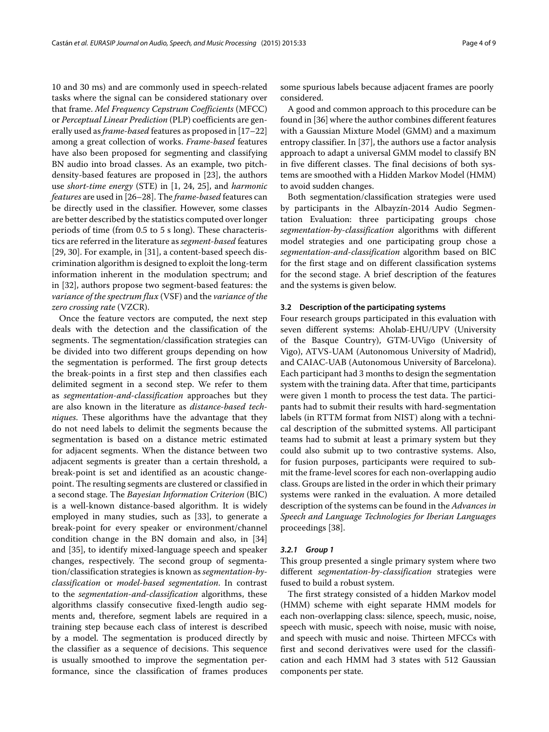10 and 30 ms) and are commonly used in speech-related tasks where the signal can be considered stationary over that frame. *Mel Frequency Cepstrum Coefficients* (MFCC) or *Perceptual Linear Prediction* (PLP) coefficients are generally used as*frame-based* features as proposed in [\[17](#page-7-16)[–22\]](#page-7-17) among a great collection of works. *Frame-based* features have also been proposed for segmenting and classifying BN audio into broad classes. As an example, two pitchdensity-based features are proposed in [\[23\]](#page-7-18), the authors use *short-time energy* (STE) in [\[1,](#page-7-0) [24,](#page-7-19) [25\]](#page-7-20), and *harmonic features* are used in [\[26](#page-7-21)[–28\]](#page-7-22). The *frame-based* features can be directly used in the classifier. However, some classes are better described by the statistics computed over longer periods of time (from 0.5 to 5 s long). These characteristics are referred in the literature as *segment-based* features [\[29,](#page-7-23) [30\]](#page-7-24). For example, in [\[31\]](#page-8-0), a content-based speech discrimination algorithm is designed to exploit the long-term information inherent in the modulation spectrum; and in [\[32\]](#page-8-1), authors propose two segment-based features: the *variance of the spectrum flux* (VSF) and the *variance of the zero crossing rate* (VZCR).

Once the feature vectors are computed, the next step deals with the detection and the classification of the segments. The segmentation/classification strategies can be divided into two different groups depending on how the segmentation is performed. The first group detects the break-points in a first step and then classifies each delimited segment in a second step. We refer to them as *segmentation-and-classification* approaches but they are also known in the literature as *distance-based techniques*. These algorithms have the advantage that they do not need labels to delimit the segments because the segmentation is based on a distance metric estimated for adjacent segments. When the distance between two adjacent segments is greater than a certain threshold, a break-point is set and identified as an acoustic changepoint. The resulting segments are clustered or classified in a second stage. The *Bayesian Information Criterion* (BIC) is a well-known distance-based algorithm. It is widely employed in many studies, such as [\[33\]](#page-8-2), to generate a break-point for every speaker or environment/channel condition change in the BN domain and also, in [\[34\]](#page-8-3) and [\[35\]](#page-8-4), to identify mixed-language speech and speaker changes, respectively. The second group of segmentation/classification strategies is known as *segmentation-byclassification* or *model-based segmentation*. In contrast to the *segmentation-and-classification* algorithms, these algorithms classify consecutive fixed-length audio segments and, therefore, segment labels are required in a training step because each class of interest is described by a model. The segmentation is produced directly by the classifier as a sequence of decisions. This sequence is usually smoothed to improve the segmentation performance, since the classification of frames produces

some spurious labels because adjacent frames are poorly considered.

A good and common approach to this procedure can be found in [\[36\]](#page-8-5) where the author combines different features with a Gaussian Mixture Model (GMM) and a maximum entropy classifier. In [\[37\]](#page-8-6), the authors use a factor analysis approach to adapt a universal GMM model to classify BN in five different classes. The final decisions of both systems are smoothed with a Hidden Markov Model (HMM) to avoid sudden changes.

Both segmentation/classification strategies were used by participants in the Albayzín-2014 Audio Segmentation Evaluation: three participating groups chose *segmentation-by-classification* algorithms with different model strategies and one participating group chose a *segmentation-and-classification* algorithm based on BIC for the first stage and on different classification systems for the second stage. A brief description of the features and the systems is given below.

#### **3.2 Description of the participating systems**

Four research groups participated in this evaluation with seven different systems: Aholab-EHU/UPV (University of the Basque Country), GTM-UVigo (University of Vigo), ATVS-UAM (Autonomous University of Madrid), and CAIAC-UAB (Autonomous University of Barcelona). Each participant had 3 months to design the segmentation system with the training data. After that time, participants were given 1 month to process the test data. The participants had to submit their results with hard-segmentation labels (in RTTM format from NIST) along with a technical description of the submitted systems. All participant teams had to submit at least a primary system but they could also submit up to two contrastive systems. Also, for fusion purposes, participants were required to submit the frame-level scores for each non-overlapping audio class. Groups are listed in the order in which their primary systems were ranked in the evaluation. A more detailed description of the systems can be found in the *Advances in Speech and Language Technologies for Iberian Languages* proceedings [\[38\]](#page-8-7).

#### *3.2.1 Group 1*

This group presented a single primary system where two different *segmentation-by-classification* strategies were fused to build a robust system.

The first strategy consisted of a hidden Markov model (HMM) scheme with eight separate HMM models for each non-overlapping class: silence, speech, music, noise, speech with music, speech with noise, music with noise, and speech with music and noise. Thirteen MFCCs with first and second derivatives were used for the classification and each HMM had 3 states with 512 Gaussian components per state.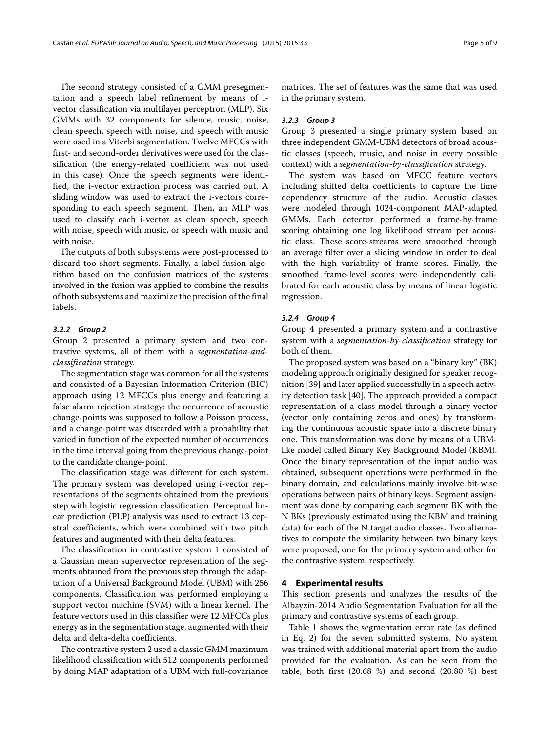The second strategy consisted of a GMM presegmentation and a speech label refinement by means of ivector classification via multilayer perceptron (MLP). Six GMMs with 32 components for silence, music, noise, clean speech, speech with noise, and speech with music were used in a Viterbi segmentation. Twelve MFCCs with first- and second-order derivatives were used for the classification (the energy-related coefficient was not used in this case). Once the speech segments were identified, the i-vector extraction process was carried out. A sliding window was used to extract the i-vectors corresponding to each speech segment. Then, an MLP was used to classify each i-vector as clean speech, speech with noise, speech with music, or speech with music and with noise.

The outputs of both subsystems were post-processed to discard too short segments. Finally, a label fusion algorithm based on the confusion matrices of the systems involved in the fusion was applied to combine the results of both subsystems and maximize the precision of the final labels.

#### *3.2.2 Group 2*

Group 2 presented a primary system and two contrastive systems, all of them with a *segmentation-andclassification* strategy.

The segmentation stage was common for all the systems and consisted of a Bayesian Information Criterion (BIC) approach using 12 MFCCs plus energy and featuring a false alarm rejection strategy: the occurrence of acoustic change-points was supposed to follow a Poisson process, and a change-point was discarded with a probability that varied in function of the expected number of occurrences in the time interval going from the previous change-point to the candidate change-point.

The classification stage was different for each system. The primary system was developed using i-vector representations of the segments obtained from the previous step with logistic regression classification. Perceptual linear prediction (PLP) analysis was used to extract 13 cepstral coefficients, which were combined with two pitch features and augmented with their delta features.

The classification in contrastive system 1 consisted of a Gaussian mean supervector representation of the segments obtained from the previous step through the adaptation of a Universal Background Model (UBM) with 256 components. Classification was performed employing a support vector machine (SVM) with a linear kernel. The feature vectors used in this classifier were 12 MFCCs plus energy as in the segmentation stage, augmented with their delta and delta-delta coefficients.

The contrastive system 2 used a classic GMM maximum likelihood classification with 512 components performed by doing MAP adaptation of a UBM with full-covariance matrices. The set of features was the same that was used in the primary system.

#### *3.2.3 Group 3*

Group 3 presented a single primary system based on three independent GMM-UBM detectors of broad acoustic classes (speech, music, and noise in every possible context) with a *segmentation-by-classification* strategy.

The system was based on MFCC feature vectors including shifted delta coefficients to capture the time dependency structure of the audio. Acoustic classes were modeled through 1024-component MAP-adapted GMMs. Each detector performed a frame-by-frame scoring obtaining one log likelihood stream per acoustic class. These score-streams were smoothed through an average filter over a sliding window in order to deal with the high variability of frame scores. Finally, the smoothed frame-level scores were independently calibrated for each acoustic class by means of linear logistic regression.

#### *3.2.4 Group 4*

Group 4 presented a primary system and a contrastive system with a *segmentation-by-classification* strategy for both of them.

The proposed system was based on a "binary key" (BK) modeling approach originally designed for speaker recognition [\[39\]](#page-8-8) and later applied successfully in a speech activity detection task [\[40\]](#page-8-9). The approach provided a compact representation of a class model through a binary vector (vector only containing zeros and ones) by transforming the continuous acoustic space into a discrete binary one. This transformation was done by means of a UBMlike model called Binary Key Background Model (KBM). Once the binary representation of the input audio was obtained, subsequent operations were performed in the binary domain, and calculations mainly involve bit-wise operations between pairs of binary keys. Segment assignment was done by comparing each segment BK with the N BKs (previously estimated using the KBM and training data) for each of the N target audio classes. Two alternatives to compute the similarity between two binary keys were proposed, one for the primary system and other for the contrastive system, respectively.

#### <span id="page-4-0"></span>**4 Experimental results**

This section presents and analyzes the results of the Albayzín-2014 Audio Segmentation Evaluation for all the primary and contrastive systems of each group.

Table [1](#page-5-0) shows the segmentation error rate (as defined in Eq. [2\)](#page-2-2) for the seven submitted systems. No system was trained with additional material apart from the audio provided for the evaluation. As can be seen from the table, both first (20.68 %) and second (20.80 %) best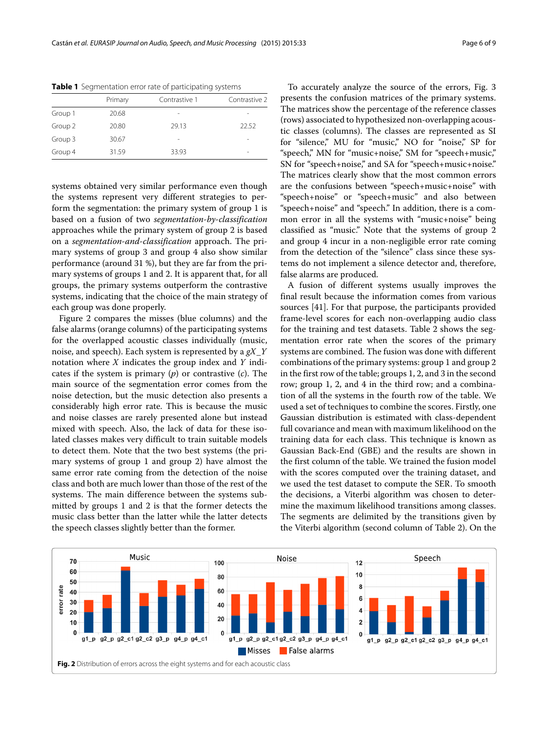| Primary | Contrastive 1            | Contrastive 2 |
|---------|--------------------------|---------------|
| 20.68   | $\overline{\phantom{a}}$ |               |
| 20.80   | 29.13                    | 22.52         |
| 30.67   | $\overline{\phantom{a}}$ |               |
| 31.59   | 33.93                    |               |
|         |                          |               |

<span id="page-5-0"></span>**Table 1** Segmentation error rate of participating systems

systems obtained very similar performance even though the systems represent very different strategies to perform the segmentation: the primary system of group 1 is based on a fusion of two *segmentation-by-classification* approaches while the primary system of group 2 is based on a *segmentation-and-classification* approach. The primary systems of group 3 and group 4 also show similar performance (around 31 %), but they are far from the primary systems of groups 1 and 2. It is apparent that, for all groups, the primary systems outperform the contrastive systems, indicating that the choice of the main strategy of each group was done properly.

Figure [2](#page-5-1) compares the misses (blue columns) and the false alarms (orange columns) of the participating systems for the overlapped acoustic classes individually (music, noise, and speech). Each system is represented by a *gX*\_*Y* notation where *X* indicates the group index and *Y* indicates if the system is primary (*p*) or contrastive (*c*). The main source of the segmentation error comes from the noise detection, but the music detection also presents a considerably high error rate. This is because the music and noise classes are rarely presented alone but instead mixed with speech. Also, the lack of data for these isolated classes makes very difficult to train suitable models to detect them. Note that the two best systems (the primary systems of group 1 and group 2) have almost the same error rate coming from the detection of the noise class and both are much lower than those of the rest of the systems. The main difference between the systems submitted by groups 1 and 2 is that the former detects the music class better than the latter while the latter detects the speech classes slightly better than the former.

To accurately analyze the source of the errors, Fig. [3](#page-6-1) presents the confusion matrices of the primary systems. The matrices show the percentage of the reference classes (rows) associated to hypothesized non-overlapping acoustic classes (columns). The classes are represented as SI for "silence," MU for "music," NO for "noise," SP for "speech," MN for "music+noise," SM for "speech+music," SN for "speech+noise," and SA for "speech+music+noise." The matrices clearly show that the most common errors are the confusions between "speech+music+noise" with "speech+noise" or "speech+music" and also between "speech+noise" and "speech." In addition, there is a common error in all the systems with "music+noise" being classified as "music." Note that the systems of group 2 and group 4 incur in a non-negligible error rate coming from the detection of the "silence" class since these systems do not implement a silence detector and, therefore, false alarms are produced.

A fusion of different systems usually improves the final result because the information comes from various sources [\[41\]](#page-8-10). For that purpose, the participants provided frame-level scores for each non-overlapping audio class for the training and test datasets. Table [2](#page-6-2) shows the segmentation error rate when the scores of the primary systems are combined. The fusion was done with different combinations of the primary systems: group 1 and group 2 in the first row of the table; groups 1, 2, and 3 in the second row; group 1, 2, and 4 in the third row; and a combination of all the systems in the fourth row of the table. We used a set of techniques to combine the scores. Firstly, one Gaussian distribution is estimated with class-dependent full covariance and mean with maximum likelihood on the training data for each class. This technique is known as Gaussian Back-End (GBE) and the results are shown in the first column of the table. We trained the fusion model with the scores computed over the training dataset, and we used the test dataset to compute the SER. To smooth the decisions, a Viterbi algorithm was chosen to determine the maximum likelihood transitions among classes. The segments are delimited by the transitions given by the Viterbi algorithm (second column of Table [2\)](#page-6-2). On the

<span id="page-5-1"></span>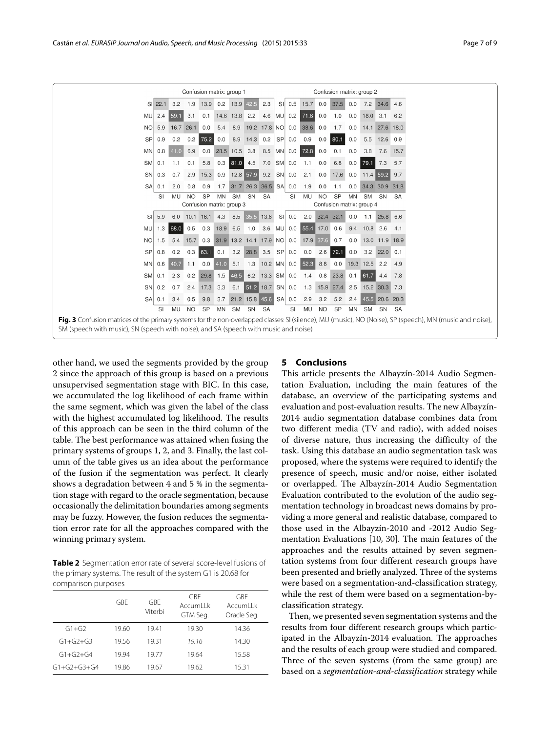|                                                                                                                                                                                                                                                   | Confusion matrix: group 1                                                                                     |           |           |                |           |           |                                                                                                        | Confusion matrix: group 2 |          |                                                   |           |                             |           |                |                    |           |
|---------------------------------------------------------------------------------------------------------------------------------------------------------------------------------------------------------------------------------------------------|---------------------------------------------------------------------------------------------------------------|-----------|-----------|----------------|-----------|-----------|--------------------------------------------------------------------------------------------------------|---------------------------|----------|---------------------------------------------------|-----------|-----------------------------|-----------|----------------|--------------------|-----------|
|                                                                                                                                                                                                                                                   | SI 22.1                                                                                                       |           |           |                |           |           | 3.2 1.9 13.9 0.2 13.9 42.5                                                                             | 2.3                       |          | SI 0.5 15.7 0.0 37.5 0.0                          |           |                             |           |                | 7.2 34.6           | 4.6       |
|                                                                                                                                                                                                                                                   | $MU$ 2.4                                                                                                      | 59.1      | 3.1       | 0.1            |           |           |                                                                                                        |                           |          | 14.6 13.8 2.2 4.6 MU 0.2 71.6                     | 0.0       | 1.0                         |           | $0.0$ 18.0 3.1 |                    | 6.2       |
| NO                                                                                                                                                                                                                                                | 5.9                                                                                                           | 16.7 26.1 |           | 0.0            | 5.4       | 8.9       |                                                                                                        |                           |          | 19.2 17.8 NO 0.0 38.6 0.0                         |           | 1.7                         | 0.0       |                | 14.1 27.6 18.0     |           |
| <b>SP</b>                                                                                                                                                                                                                                         | 0.9                                                                                                           | 0.2       |           | $0.2$ 75.2     |           |           | $0.0$ 8.9 14.3 0.2 SP 0.0 0.9                                                                          |                           |          |                                                   |           | $0.0$ 80.1                  | 0.0       | 5.5            | $12.6$ 0.9         |           |
| MN                                                                                                                                                                                                                                                | 0.8                                                                                                           | 41.0      |           |                |           |           |                                                                                                        |                           |          | 6.9 0.0 28.5 10.5 3.8 8.5 MN 0.0 72.8 0.0         |           | 0.1                         | 0.0       | 3.8            | 7.6                | 15.7      |
| <b>SM</b>                                                                                                                                                                                                                                         | 0.1                                                                                                           | 1.1       | 0.1       | 5.8            |           |           | $0.3$ 81.0 4.5 7.0 SM 0.0                                                                              |                           |          | 1.1                                               | 0.0       | 6.8                         |           | $0.0$ 79.1     | 7.3                | 5.7       |
| SN <sub>I</sub>                                                                                                                                                                                                                                   | 0.3                                                                                                           | 0.7       | 2.9       |                |           |           | 15.3 0.9 12.8 57.9                                                                                     | $9.2$ SN 0.0              |          | 2.1                                               |           | $0.0$ 17.6 0.0 11.4 59.2    |           |                |                    | 9.7       |
| SA                                                                                                                                                                                                                                                | 0.1                                                                                                           | 2.0       | 0.8       | 0.9            |           |           | 1.7 31.7 26.3 36.5 SA 0.0                                                                              |                           |          | 1.9                                               | 0.0       | 1.1                         | 0.0       |                | 34.3 30.9 31.8     |           |
|                                                                                                                                                                                                                                                   | SM<br><b>SN</b><br><b>SI</b><br>NO.<br><b>SP</b><br><b>MN</b><br><b>SA</b><br>MU<br>Confusion matrix: group 3 |           |           |                |           |           | <b>SM</b><br>SN<br>NO.<br><b>SP</b><br><b>MN</b><br>SI<br>MU<br><b>SA</b><br>Confusion matrix: group 4 |                           |          |                                                   |           |                             |           |                |                    |           |
| SI                                                                                                                                                                                                                                                | 5.9                                                                                                           |           |           |                |           |           | 6.0 10.1 16.1 4.3 8.5 35.5 13.6                                                                        |                           | $SI$ 0.0 | 2.0                                               |           | 32.4 32.1                   | 0.0       |                | $1.1$ 25.8         | 6.6       |
| MU                                                                                                                                                                                                                                                | 1.3                                                                                                           | 68.0      | 0.5       | 0.3            |           |           |                                                                                                        |                           |          | 18.9 6.5 1.0 3.6 MU 0.0 55.4 17.0 0.6             |           |                             |           | 9.4 10.8 2.6   |                    | 4.1       |
| NO                                                                                                                                                                                                                                                | 1.5                                                                                                           |           |           |                |           |           |                                                                                                        |                           |          | 5.4 15.7 0.3 31.9 13.2 14.1 17.9 NO 0.0 17.9 37.6 |           | 0.7                         |           |                | 0.0 13.0 11.9 18.9 |           |
| <b>SP</b>                                                                                                                                                                                                                                         | 0.8                                                                                                           | 0.2       |           | $0.3$ 63.1     |           |           | $0.1$ 3.2 28.8 3.5 SP 0.0                                                                              |                           |          | 0.0                                               |           | $2.6$ 72.1                  | 0.0       | 3.2            | 22.0               | 0.1       |
|                                                                                                                                                                                                                                                   | $MN$ 0.6                                                                                                      | 40.7      | 1.1       | 0.0            | 41.0      |           |                                                                                                        |                           |          | 5.1 1.3 10.2 MN 0.0 52.3                          | 8.8       | 0.0                         |           | 19.3 12.5      | 2.2                | 4.9       |
| <b>SMI</b>                                                                                                                                                                                                                                        | 0.1                                                                                                           | 2.3       |           | $0.2$ 29.8 1.5 |           | 46.5      |                                                                                                        | 6.2 13.3 SM 0.0 1.4       |          |                                                   |           | 0.8 23.8                    |           | $0.1$ 61.7     | 4.4                | 7.8       |
|                                                                                                                                                                                                                                                   | $SN$ 0.2                                                                                                      | 0.7       | 2.4       | 17.3           | 3.3       |           | 6.1 51.2 18.7 SN 0.0 1.3                                                                               |                           |          |                                                   |           | 15.9 27.4 2.5 15.2 30.3 7.3 |           |                |                    |           |
| SA                                                                                                                                                                                                                                                | 0.1                                                                                                           | 3.4       | 0.5       | 9.8            | 3.7       |           | 21.2 15.8 45.6 SA 0.0                                                                                  |                           |          | 2.9                                               | 3.2       | 5.2                         | 2.4       |                | 45.5 20.6 20.3     |           |
|                                                                                                                                                                                                                                                   | <b>SI</b>                                                                                                     | MU        | <b>NO</b> | <b>SP</b>      | <b>MN</b> | <b>SM</b> | SN                                                                                                     | <b>SA</b>                 | SI       | <b>MU</b>                                         | <b>NO</b> | SP                          | <b>MN</b> | <b>SM</b>      | <b>SN</b>          | <b>SA</b> |
| Fig. 3 Confusion matrices of the primary systems for the non-overlapped classes: SI (silence), MU (music), NO (Noise), SP (speech), MN (music and noise),<br>SM (speech with music), SN (speech with noise), and SA (speech with music and noise) |                                                                                                               |           |           |                |           |           |                                                                                                        |                           |          |                                                   |           |                             |           |                |                    |           |

<span id="page-6-1"></span>other hand, we used the segments provided by the group 2 since the approach of this group is based on a previous unsupervised segmentation stage with BIC. In this case, we accumulated the log likelihood of each frame within the same segment, which was given the label of the class with the highest accumulated log likelihood. The results of this approach can be seen in the third column of the table. The best performance was attained when fusing the primary systems of groups 1, 2, and 3. Finally, the last column of the table gives us an idea about the performance of the fusion if the segmentation was perfect. It clearly shows a degradation between 4 and 5 % in the segmentation stage with regard to the oracle segmentation, because occasionally the delimitation boundaries among segments may be fuzzy. However, the fusion reduces the segmentation error rate for all the approaches compared with the winning primary system.

<span id="page-6-2"></span>**Table 2** Segmentation error rate of several score-level fusions of the primary systems. The result of the system G1 is 20.68 for comparison purposes

|                     | GBF   | GBF<br>Viterbi | GBF<br>AccumLLk<br>GTM Seg. | GBF<br>AccumLlk<br>Oracle Seg. |  |  |  |
|---------------------|-------|----------------|-----------------------------|--------------------------------|--|--|--|
| $G1 + G2$           | 19.60 | 1941           | 19.30                       | 14.36                          |  |  |  |
| $G1 + G2 + G3$      | 19.56 | 1931           | 19.16                       | 14.30                          |  |  |  |
| $G1 + G2 + G4$      | 1994  | 1977           | 19.64                       | 15.58                          |  |  |  |
| $G1 + G2 + G3 + G4$ | 19.86 | 19.67          | 19.62                       | 15.31                          |  |  |  |

# <span id="page-6-0"></span>**5 Conclusions**

This article presents the Albayzín-2014 Audio Segmentation Evaluation, including the main features of the database, an overview of the participating systems and evaluation and post-evaluation results. The new Albayzín-2014 audio segmentation database combines data from two different media (TV and radio), with added noises of diverse nature, thus increasing the difficulty of the task. Using this database an audio segmentation task was proposed, where the systems were required to identify the presence of speech, music and/or noise, either isolated or overlapped. The Albayzín-2014 Audio Segmentation Evaluation contributed to the evolution of the audio segmentation technology in broadcast news domains by providing a more general and realistic database, compared to those used in the Albayzín-2010 and -2012 Audio Segmentation Evaluations [\[10,](#page-7-9) [30\]](#page-7-24). The main features of the approaches and the results attained by seven segmentation systems from four different research groups have been presented and briefly analyzed. Three of the systems were based on a segmentation-and-classification strategy, while the rest of them were based on a segmentation-byclassification strategy.

Then, we presented seven segmentation systems and the results from four different research groups which participated in the Albayzín-2014 evaluation. The approaches and the results of each group were studied and compared. Three of the seven systems (from the same group) are based on a *segmentation-and-classification* strategy while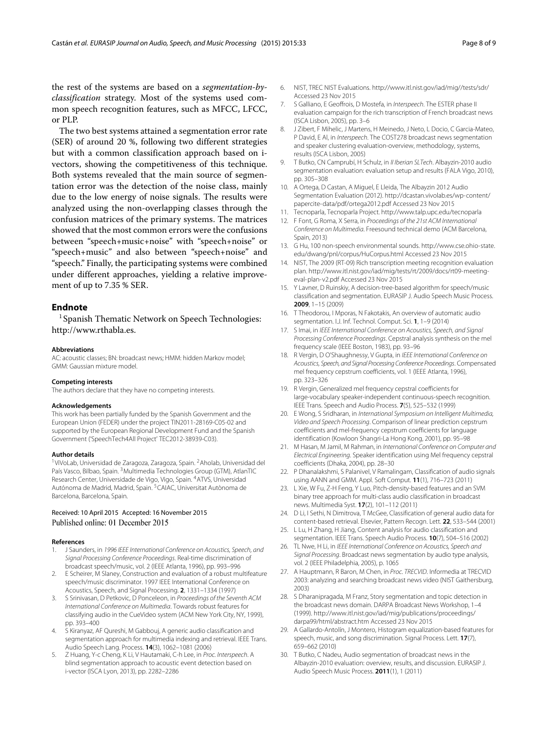the rest of the systems are based on a *segmentation-byclassification* strategy. Most of the systems used common speech recognition features, such as MFCC, LFCC, or PLP.

The two best systems attained a segmentation error rate (SER) of around 20 %, following two different strategies but with a common classification approach based on ivectors, showing the competitiveness of this technique. Both systems revealed that the main source of segmentation error was the detection of the noise class, mainly due to the low energy of noise signals. The results were analyzed using the non-overlapping classes through the confusion matrices of the primary systems. The matrices showed that the most common errors were the confusions between "speech+music+noise" with "speech+noise" or "speech+music" and also between "speech+noise" and "speech." Finally, the participating systems were combined under different approaches, yielding a relative improvement of up to 7.35 % SER.

# **Endnote**

<sup>1</sup> Spanish Thematic Network on Speech Technologies: [http://www.rthabla.es.](http://www.rthabla.es)

#### **Abbreviations**

AC: acoustic classes; BN: broadcast news; HMM: hidden Markov model; GMM: Gaussian mixture model.

#### **Competing interests**

The authors declare that they have no competing interests.

#### **Acknowledgements**

This work has been partially funded by the Spanish Government and the European Union (FEDER) under the project TIN2011-28169-C05-02 and supported by the European Regional Development Fund and the Spanish Government ('SpeechTech4All Project' TEC2012-38939-C03).

#### **Author details**

<sup>1</sup>ViVoLab, Universidad de Zaragoza, Zaragoza, Spain. <sup>2</sup>Aholab, Universidad del País Vasco, Bilbao, Spain. 3Multimedia Technologies Group (GTM), AtlanTIC Research Center, Universidade de Vigo, Vigo, Spain. 4ATVS, Universidad Autónoma de Madrid, Madrid, Spain. 5CAIAC, Universitat Autònoma de Barcelona, Barcelona, Spain.

#### Received: 10 April 2015 Accepted: 16 November 2015 Published online: 01 December 2015

#### **References**

- <span id="page-7-0"></span>1. J Saunders, in 1996 IEEE International Conference on Acoustics, Speech, and Signal Processing Conference Proceedings. Real-time discrimination of broadcast speech/music, vol. 2 (IEEE Atlanta, 1996), pp. 993–996
- <span id="page-7-1"></span>2. E Scheirer, M Slaney, Construction and evaluation of a robust multifeature speech/music discriminator. 1997 IEEE International Conference on Acoustics, Speech, and Signal Processing. **2**, 1331–1334 (1997)
- <span id="page-7-2"></span>3. S Srinivasan, D Petkovic, D Ponceleon, in Proceedings of the Seventh ACM International Conference on Multimedia. Towards robust features for classifying audio in the CueVideo system (ACM New York City, NY, 1999), pp. 393–400
- <span id="page-7-3"></span>5. Kiranyaz, AF Qureshi, M Gabbouj, A generic audio classification and segmentation approach for multimedia indexing and retrieval. IEEE Trans. Audio Speech Lang. Process. **14**(3), 1062–1081 (2006)
- <span id="page-7-4"></span>5. Z Huang, Y-c Cheng, K Li, V Hautamaki, C-h Lee, in Proc. Interspeech. A blind segmentation approach to acoustic event detection based on i-vector (ISCA Lyon, 2013), pp. 2282–2286
- <span id="page-7-5"></span>6. NIST, TREC NIST Evaluations.<http://www.itl.nist.gov/iad/mig//tests/sdr/> Accessed 23 Nov 2015
- <span id="page-7-6"></span>7. S Galliano, E Geoffrois, D Mostefa, in Interspeech. The ESTER phase II evaluation campaign for the rich transcription of French broadcast news (ISCA Lisbon, 2005), pp. 3–6
- <span id="page-7-7"></span>8. J Zibert, F Mihelic, J Martens, H Meinedo, J Neto, L Docio, C Garcia-Mateo, P David, E Al, in *Interspeech*. The COST278 broadcast news segmentation and speaker clustering evaluation-overview, methodology, systems, results (ISCA Lisbon, 2005)
- <span id="page-7-8"></span>9. T Butko, CN Camprubí, H Schulz, in II Iberian SLTech. Albayzin-2010 audio segmentation evaluation: evaluation setup and results (FALA Vigo, 2010), pp. 305–308
- <span id="page-7-9"></span>10. A Ortega, D Castan, A Miguel, E Lleida, The Albayzin 2012 Audio Segmentation Evaluation (2012). [http://dcastan.vivolab.es/wp-content/](http://dcastan.vivolab.es/wp-content/papercite-data/pdf/ortega2012.pdf) [papercite-data/pdf/ortega2012.pdf](http://dcastan.vivolab.es/wp-content/papercite-data/pdf/ortega2012.pdf) Accessed 23 Nov 2015
- <span id="page-7-10"></span>11. Tecnoparla, Tecnoparla Project.<http://www.talp.upc.edu/tecnoparla>
- <span id="page-7-11"></span>12. F Font, G Roma, X Serra, in Proceedings of the 21st ACM International Conference on Multimedia. Freesound technical demo (ACM Barcelona, Spain, 2013)
- <span id="page-7-12"></span>13. G Hu, 100 non-speech environmental sounds. [http://www.cse.ohio-state.](http://www.cse.ohio-state.edu/dwang/pnl/corpus/HuCorpus.html) [edu/dwang/pnl/corpus/HuCorpus.html](http://www.cse.ohio-state.edu/dwang/pnl/corpus/HuCorpus.html) Accessed 23 Nov 2015
- <span id="page-7-13"></span>14. NIST, The 2009 (RT-09) Rich transcription meeting recognition evaluation plan. [http://www.itl.nist.gov/iad/mig/tests/rt/2009/docs/rt09-meeting](http://www.itl.nist.gov/iad/mig/tests/rt/2009/docs/rt09-meeting-eval-plan-v2.pdf)[eval-plan-v2.pdf](http://www.itl.nist.gov/iad/mig/tests/rt/2009/docs/rt09-meeting-eval-plan-v2.pdf) Accessed 23 Nov 2015
- <span id="page-7-14"></span>15. Y Lavner, D Ruinskiy, A decision-tree-based algorithm for speech/music classification and segmentation. EURASIP J. Audio Speech Music Process. **2009**, 1–15 (2009)
- <span id="page-7-15"></span>16. T Theodorou, I Mporas, N Fakotakis, An overview of automatic audio segmentation. I.J. Inf. Technol. Comput. Sci. **1**, 1–9 (2014)
- <span id="page-7-16"></span>17. S Imai, in IEEE International Conference on Acoustics, Speech, and Signal Processing Conference Proceedings. Cepstral analysis synthesis on the mel frequency scale (IEEE Boston, 1983), pp. 93–96
- 18. R Vergin, D O'Shaughnessy, V Gupta, in IEEE International Conference on Acoustics, Speech, and Signal Processing Conference Proceedings. Compensated mel frequency cepstrum coefficients, vol. 1 (IEEE Atlanta, 1996), pp. 323–326
- 19. R Vergin, Generalized mel frequency cepstral coefficients for large-vocabulary speaker-independent continuous-speech recognition. IEEE Trans. Speech and Audio Process. **7**(5), 525–532 (1999)
- 20. E Wong, S Sridharan, in International Symposium on Intelligent Multimedia, Video and Speech Processing. Comparison of linear prediction cepstrum coefficients and mel-frequency cepstrum coefficients for language identification (Kowloon Shangri-La Hong Kong, 2001), pp. 95–98
- 21. M Hasan, M Jamil, M Rahman, in International Conference on Computer and Electrical Engineering. Speaker identification using Mel frequency cepstral coefficients (Dhaka, 2004), pp. 28–30
- <span id="page-7-17"></span>22. P Dhanalakshmi, S Palanivel, V Ramalingam, Classification of audio signals using AANN and GMM. Appl. Soft Comput. **11**(1), 716–723 (2011)
- <span id="page-7-18"></span>23. L Xie, W Fu, Z-H Feng, Y Luo, Pitch-density-based features and an SVM binary tree approach for multi-class audio classification in broadcast news. Multimedia Syst. **17**(2), 101–112 (2011)
- <span id="page-7-19"></span>24. D Li, I Sethi, N Dimitrova, T McGee, Classification of general audio data for content-based retrieval. Elsevier, Pattern Recogn. Lett. **22**, 533–544 (2001)
- <span id="page-7-20"></span>25. L Lu, H Zhang, H Jiang, Content analysis for audio classification and segmentation. IEEE Trans. Speech Audio Process. **10**(7), 504–516 (2002)
- <span id="page-7-21"></span>26. TL Nwe, H Li, in IEEE International Conference on Acoustics, Speech and Signal Processing. Broadcast news segmentation by audio type analysis, vol. 2 (IEEE Philadelphia, 2005), p. 1065
- 27. A Hauptmann, R Baron, M Chen, in Proc. TRECVID. Informedia at TRECVID 2003: analyzing and searching broadcast news video (NIST Gaithersburg, 2003)
- <span id="page-7-22"></span>28. S Dharanipragada, M Franz, Story segmentation and topic detection in the broadcast news domain. DARPA Broadcast News Workshop, 1–4 (1999). [http://www.itl.nist.gov/iad/mig/publications/proceedings/](http://www.itl.nist.gov/iad/mig/publications/proceedings/darpa99/html/abstract.htm) [darpa99/html/abstract.htm](http://www.itl.nist.gov/iad/mig/publications/proceedings/darpa99/html/abstract.htm) Accessed 23 Nov 2015
- <span id="page-7-23"></span>29. A Gallardo-Antolín, J Montero, Histogram equalization-based features for speech, music, and song discrimination. Signal Process. Lett. **17**(7), 659–662 (2010)
- <span id="page-7-24"></span>30. T Butko, C Nadeu, Audio segmentation of broadcast news in the Albayzin-2010 evaluation: overview, results, and discussion. EURASIP J. Audio Speech Music Process. **2011**(1), 1 (2011)